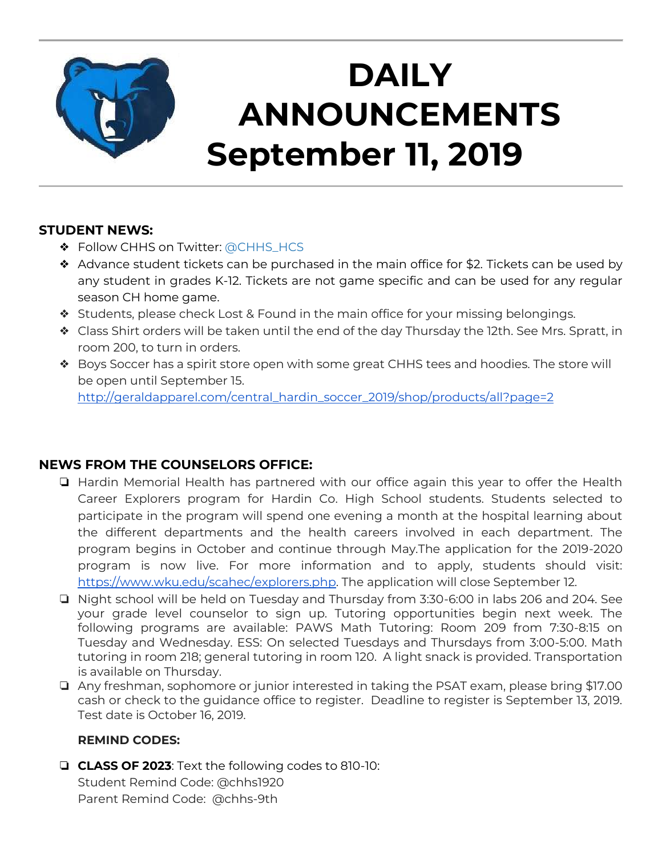

## **DAILY ANNOUNCEMENTS September 11, 2019**

### **STUDENT NEWS:**

- ❖ Follow CHHS on Twitter: [@CHHS\\_HCS](https://twitter.com/CHHS_HCS)
- ❖ Advance student tickets can be purchased in the main office for \$2. Tickets can be used by any student in grades K-12. Tickets are not game specific and can be used for any regular season CH home game.
- ❖ Students, please check Lost & Found in the main office for your missing belongings.
- ❖ Class Shirt orders will be taken until the end of the day Thursday the 12th. See Mrs. Spratt, in room 200, to turn in orders.
- ❖ Boys Soccer has a spirit store open with some great CHHS tees and hoodies. The store will be open until September 15.

[http://geraldapparel.com/central\\_hardin\\_soccer\\_2019/shop/products/all?page=2](http://geraldapparel.com/central_hardin_soccer_2019/shop/products/all?page=2)

### **NEWS FROM THE COUNSELORS OFFICE:**

- ❏ Hardin Memorial Health has partnered with our office again this year to offer the Health Career Explorers program for Hardin Co. High School students. Students selected to participate in the program will spend one evening a month at the hospital learning about the different departments and the health careers involved in each department. The program begins in October and continue through May.The application for the 2019-2020 program is now live. For more information and to apply, students should visit: [https://www.wku.edu/scahec/explorers.php.](https://www.wku.edu/scahec/explorers.php) The application will close September 12.
- ❏ Night school will be held on Tuesday and Thursday from 3:30-6:00 in labs 206 and 204. See your grade level counselor to sign up. Tutoring opportunities begin next week. The following programs are available: PAWS Math Tutoring: Room 209 from 7:30-8:15 on Tuesday and Wednesday. ESS: On selected Tuesdays and Thursdays from 3:00-5:00. Math tutoring in room 218; general tutoring in room 120. A light snack is provided. Transportation is available on Thursday.
- ❏ Any freshman, sophomore or junior interested in taking the PSAT exam, please bring \$17.00 cash or check to the guidance office to register. Deadline to register is September 13, 2019. Test date is October 16, 2019.

### **REMIND CODES:**

❏ **CLASS OF 2023**: Text the following codes to 810-10: Student Remind Code: @chhs1920 Parent Remind Code: @chhs-9th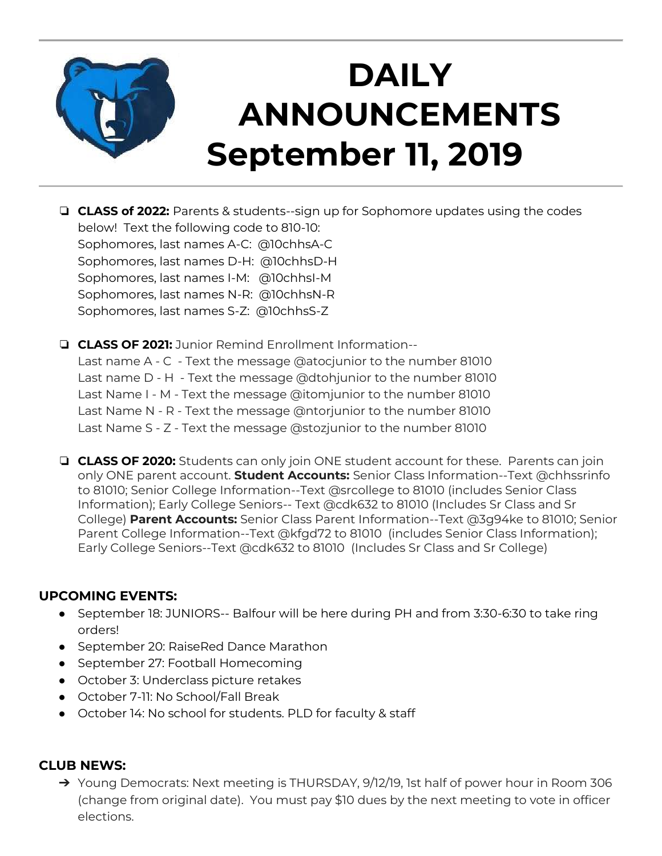

## **DAILY ANNOUNCEMENTS September 11, 2019**

- ❏ **CLASS of 2022:** Parents & students--sign up for Sophomore updates using the codes below! Text the following code to 810-10: Sophomores, last names A-C: @10chhsA-C Sophomores, last names D-H: @10chhsD-H Sophomores, last names I-M: @10chhsI-M Sophomores, last names N-R: @10chhsN-R Sophomores, last names S-Z: @10chhsS-Z
- ❏ **CLASS OF 2021:** Junior Remind Enrollment Information-- Last name A - C - Text the message @atocjunior to the number 81010 Last name D - H - Text the message @dtohjunior to the number 81010 Last Name I - M - Text the message @itomjunior to the number 81010 Last Name N - R - Text the message @ntorjunior to the number 81010 Last Name S - Z - Text the message @stozjunior to the number 81010
- ❏ **CLASS OF 2020:** Students can only join ONE student account for these. Parents can join only ONE parent account. **Student Accounts:** Senior Class Information--Text @chhssrinfo to 81010; Senior College Information--Text @srcollege to 81010 (includes Senior Class Information); Early College Seniors-- Text @cdk632 to 81010 (Includes Sr Class and Sr College) **Parent Accounts:** Senior Class Parent Information--Text @3g94ke to 81010; Senior Parent College Information--Text @kfgd72 to 81010 (includes Senior Class Information); Early College Seniors--Text @cdk632 to 81010 (Includes Sr Class and Sr College)

### **UPCOMING EVENTS:**

- September 18: JUNIORS-- Balfour will be here during PH and from 3:30-6:30 to take ring orders!
- September 20: RaiseRed Dance Marathon
- September 27: Football Homecoming
- October 3: Underclass picture retakes
- October 7-11: No School/Fall Break
- October 14: No school for students. PLD for faculty & staff

### **CLUB NEWS:**

➔ Young Democrats: Next meeting is THURSDAY, 9/12/19, 1st half of power hour in Room 306 (change from original date). You must pay \$10 dues by the next meeting to vote in officer elections.